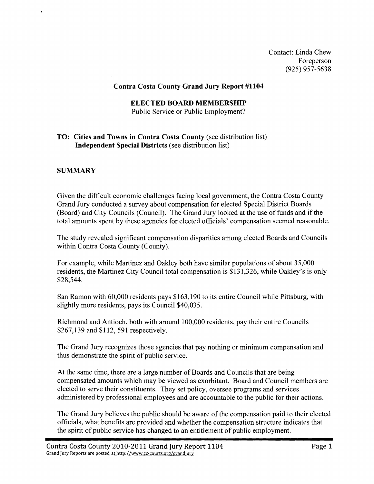Contact: Linda Chew Foreperson (925) 957-5638

## **Contra Costa County Grand Jury Report #I104**

## **ELECTED BOARD MEMBERSHIP**

Public Service or Public Employment?

## **TO: Cities and Towns in Contra Costa County** (see distribution list) **Independent Special Districts** (see distribution list)

## **SUMMARY**

Given the difficult economic challenges facing local government, the Contra Costa County Grand Jury conducted a survey about compensation for elected Special District Boards (Board) and City Councils (Council). The Grand Jury looked at the use of funds and if the total amounts spent by these agencies for elected officials' compensation seemed reasonable.

The study revealed significant compensation disparities among elected Boards and Councils within Contra Costa County (County).

For example, while Martinez and Oakley both have similar populations of about 35,000 residents, the Martinez City Council total compensation is \$13 1,326, while Oakley's is only \$28,544.

San Ramon with 60,000 residents pays \$163,190 to its entire Council while Pittsburg, with slightly more residents, pays its Council \$40,035.

Richmond and Antioch, both with around 100,000 residents, pay their entire Councils \$267,139 and \$1 12, 591 respectively.

The Grand Jury recognizes those agencies that pay nothing or minimum compensation and thus demonstrate the spirit of public service.

At the same time, there are a large number of Boards and Councils that are being compensated amounts which may be viewed as exorbitant. Board and Council members are elected to serve their constituents. They set policy, oversee programs and services administered by professional employees and are accountable to the public for their actions.

The Grand Jury believes the public should be aware of the compensation paid to their elected officials, what benefits are provided and whether the compensation structure indicates that the spirit of public service has changed to an entitlement of public employment.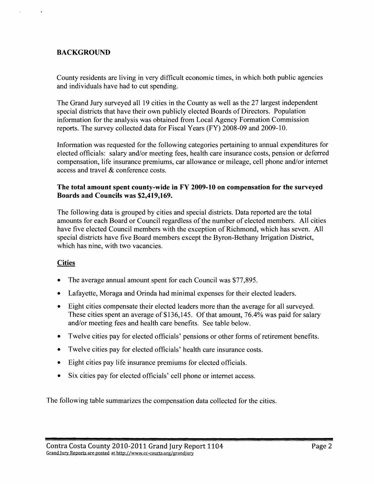# **BACKGROUND**

County residents are living in very difficult economic times, in which both public agencies and individuals have had to cut spending.

The Grand Jury surveyed all 19 cities in the County as well as the 27 largest independent special districts that have their own publicly elected Boards of Directors. Population information for the analysis was obtained from Local Agency Formation Commission reports. The survey collected data for Fiscal Years (FY) 2008-09 and 2009-10.

Information was requested for the following categories pertaining to annual expenditures for elected officials: salary and/or meeting fees, health care insurance costs, pension or deferred compensation, life insurance premiums, car allowance or mileage, cell phone and/or internet access and travel & conference costs.

## **The total amount spent county-wide in FY 2009-10 on compensation for the surveyed Boards and Councils was \$2,419,169.**

The following data is grouped by cities and special districts. Data reported are the total amounts for each Board or Council regardless of the number of elected members. All cities have five elected Council members with the exception of Richmond, which has seven. All special districts have five Board members except the Byron-Bethany Jrrigation District, which has nine, with two vacancies.

## **Cities**

- The average annual amount spent for each Council was \$77,895.
- Lafayette, Moraga and Orinda had minimal expenses for their elected leaders.  $\bullet$
- Eight cities compensate their elected leaders more than the average for all surveyed.  $\bullet$ These cities spent an average of \$136,145. Of that amount, 76.4% was paid for salary and/or meeting fees and health care benefits. See table below.
- Twelve cities pay for elected officials' pensions or other forms of retirement benefits.  $\bullet$
- Twelve cities pay for elected officials' health care insurance costs.  $\bullet$
- $\bullet$ Eight cities pay life insurance premiums for elected officials.
- Six cities pay for elected officials' cell phone or internet access.  $\bullet$

The following table summarizes the compensation data collected for the cities.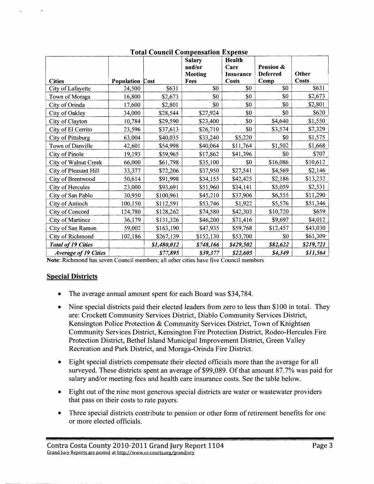|                             |            |             | <b>Salary</b><br>and/or<br><b>Meeting</b> | Health<br>Care<br><b>Insurance</b> | Pension &<br><b>Deferred</b> | Other        |
|-----------------------------|------------|-------------|-------------------------------------------|------------------------------------|------------------------------|--------------|
| <b>Cities</b>               | Population | Cost        | Fees                                      | <b>Costs</b>                       | Comp                         | <b>Costs</b> |
| City of Lafayette           | 24,500     | \$631       | \$0                                       | \$0                                | \$0                          | \$631        |
| Town of Moraga              | 16,800     | \$2,673     | \$0                                       | \$0                                | \$0                          | \$2,673      |
| City of Orinda              | 17,600     | \$2,801     | \$0                                       | \$0                                | \$0                          | \$2,801      |
| City of Oakley              | 34,000     | \$28,544    | \$27,924                                  | \$0                                | \$0                          | \$620        |
| City of Clayton             | 10,784     | \$29,590    | \$23,400                                  | \$0                                | \$4,640                      | \$1,550      |
| City of El Cerrito          | 23,596     | \$37,613    | \$26,710                                  | \$0                                | \$3,574                      | \$7,329      |
| City of Pittsburg           | 63,004     | \$40,035    | \$33,240                                  | \$5,220                            | \$0                          | \$1,575      |
| Town of Danville            | 42,601     | \$54,998    | \$40,064                                  | \$11,764                           | \$1,502                      | \$1,668      |
| City of Pinole              | 19,193     | \$59,965    | \$17,862                                  | \$41,396                           | \$0                          | \$707        |
| City of Walnut Creek        | 66,000     | \$61,798    | \$35,100                                  | \$0                                | \$16,086                     | \$10,612     |
| City of Pleasant Hill       | 33,377     | \$72,206    | \$37,950                                  | \$27,541                           | \$4,569                      | \$2,146      |
| City of Brentwood           | 50,614     | \$91,998    | \$34,155                                  | \$42,425                           | \$2,186                      | \$13,232     |
| City of Hercules            | 23,000     | \$93,691    | \$51,960                                  | \$34,141                           | \$5,059                      | \$2,531      |
| City of San Pablo           | 30,950     | \$100,961   | \$45,210                                  | \$37,906                           | \$6,555                      | \$11,290     |
| City of Antioch             | 100,150    | \$112,591   | \$53,746                                  | \$1,922                            | \$5,576                      | \$51,346     |
| City of Concord             | 124,780    | \$128,262   | \$74,580                                  | \$42,303                           | \$10,720                     | \$659        |
| City of Martinez            | 36,179     | \$131,326   | \$46,200                                  | \$71,416                           | \$9,697                      | \$4,012      |
| City of San Ramon           | 59,002     | \$163,190   | \$47,935                                  | \$59,768                           | \$12,457                     | \$43,030     |
| City of Richmond            | 102,186    | \$267,139   | \$152,130                                 | \$53,700                           | \$0                          | \$61,309     |
| <b>Total of 19 Cities</b>   |            | \$1,480,012 | \$748,166                                 | \$429,502                          | \$82,622                     | \$219,721    |
| <b>Average of 19 Cities</b> |            | \$77,895    | \$39,377                                  | \$22,605                           | \$4,349                      | \$11,564     |

## **Total Council Compensation Expense**

**Note:** Richmond has seven Council members; all other cities have five Council members

## **Special Districts**

 $\ddot{\phantom{1}}$ 

- The average annual amount spent for each Board was \$34,784.  $\bullet$
- Nine special districts paid their elected leaders from zero to less than \$100 in total. They  $\bullet$ are: Crockett Community Services District, Diablo Community Services District, Kensington Police Protection & Community Services District, Town of Knightsen Community Services District, Kensington Fire Protection District, Rodeo-Hercules Fire Protection District, Bethel Island Municipal Improvement District, Green Valley Recreation and Park District, and Moraga-Orinda Fire District.
- Eight special districts compensate their elected officials more than the average for all surveyed. These districts spent an average of \$99,089. Of that amount 87.7% was paid for salary and/or meeting fees and health care insurance costs. See the table below.
- Eight out of the nine most generous special districts are water or wastewater providers  $\bullet$ that pass on their costs to rate payers.
- Three special districts contribute to pension or other form of retirement benefits for one or more elected officials.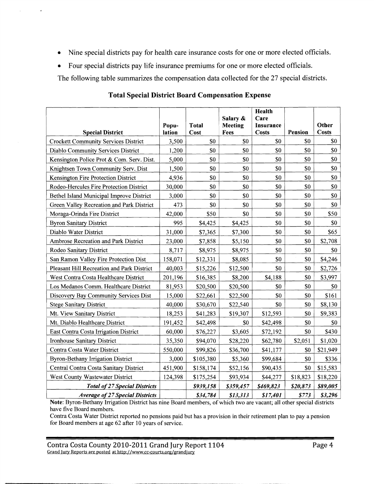- Nine special districts pay for health care insurance costs for one or more elected officials.  $\bullet$
- Four special districts pay life insurance premiums for one or more elected officials.  $\bullet$

 $\alpha$  .

 $\epsilon$ 

The following table summarizes the compensation data collected for the 27 special districts.

| <b>Special District</b>                     | Popu-<br>lation | <b>Total</b><br>Cost | Salary &<br><b>Meeting</b><br>Fees | <b>Health</b><br>Care<br>Insurance<br><b>Costs</b> | Pension  | Other<br><b>Costs</b> |
|---------------------------------------------|-----------------|----------------------|------------------------------------|----------------------------------------------------|----------|-----------------------|
| <b>Crockett Community Services District</b> | 3,500           | \$0                  | \$0                                | \$0                                                | \$0      | \$0                   |
| <b>Diablo Community Services District</b>   | 1,200           | \$0                  | \$0                                | \$0                                                | \$0      | \$0                   |
| Kensington Police Prot & Com. Serv. Dist.   | 5,000           | \$0                  | \$0                                | \$0                                                | \$0      | \$0                   |
| Knightsen Town Community Serv. Dist         | 1,500           | \$0                  | \$0                                | \$0                                                | \$0      | \$0                   |
| Kensington Fire Protection District         | 4,936           | \$0                  | \$0                                | \$0                                                | \$0      | \$0                   |
| Rodeo-Hercules Fire Protection District     | 30,000          | \$0                  | \$0                                | \$0                                                | \$0      | \$0                   |
| Bethel Island Municipal Improve District    | 3,000           | \$0                  | \$0                                | \$0                                                | \$0      | \$0                   |
| Green Valley Recreation and Park District   | 473             | \$0                  | \$0                                | \$0                                                | \$0      | \$0                   |
| Moraga-Orinda Fire District                 | 42,000          | \$50                 | \$0                                | \$0                                                | \$0      | \$50                  |
| <b>Byron Sanitary District</b>              | 995             | \$4,425              | \$4,425                            | \$0                                                | \$0      | \$0                   |
| Diablo Water District                       | 31,000          | \$7,365              | \$7,300                            | \$0                                                | \$0      | \$65                  |
| Ambrose Recreation and Park District        | 23,000          | \$7,858              | \$5,150                            | \$0                                                | \$0      | \$2,708               |
| Rodeo Sanitary District                     | 8,717           | \$8,975              | \$8,975                            | \$0                                                | \$0      | \$0                   |
| San Ramon Valley Fire Protection Dist       | 158,071         | \$12,331             | \$8,085                            | \$0                                                | \$0      | \$4,246               |
| Pleasant Hill Recreation and Park District  | 40,003          | \$15,226             | \$12,500                           | \$0                                                | \$0      | \$2,726               |
| West Contra Costa Healthcare District       | 201,196         | \$16,385             | \$8,200                            | \$4,188                                            | \$0      | \$3,997               |
| Los Medanos Comm. Healthcare District       | 81,953          | \$20,500             | \$20,500                           | \$0                                                | \$0      | \$0                   |
| Discovery Bay Community Services Dist       | 15,000          | \$22,661             | \$22,500                           | \$0                                                | \$0      | \$161                 |
| <b>Stege Sanitary District</b>              | 40,000          | \$30,670             | \$22,540                           | \$0                                                | \$0      | \$8,130               |
| Mt. View Sanitary District                  | 18,253          | \$41,283             | \$19,307                           | \$12,593                                           | \$0      | \$9,383               |
| Mt. Diablo Healthcare District              | 191,452         | \$42,498             | \$0                                | \$42,498                                           | \$0      | \$0                   |
| East Contra Costa Irrigation District       | 60,000          | \$76,227             | \$3,605                            | \$72,192                                           | \$0      | \$430                 |
| Ironhouse Sanitary District                 | 35,350          | \$94,070             | \$28,220                           | \$62,780                                           | \$2,051  | \$1,020               |
| Contra Costa Water District                 | 550,000         | \$99,826             | \$36,700                           | \$41,177                                           | \$0      | \$21,949              |
| <b>Byron-Bethany Irrigation District</b>    | 3,000           | \$105,380            | \$5,360                            | \$99,684                                           | \$0      | \$336                 |
| Central Contra Costa Sanitary District      | 451,900         | \$158,174            | \$52,156                           | \$90,435                                           | \$0      | \$15,583              |
| West County Wastewater District             | 124,398         | \$175,254            | \$93,934                           | \$44,277                                           | \$18,823 | \$18,220              |
| <b>Total of 27 Special Districts</b>        |                 | \$939,158            | \$359,457                          | \$469,823                                          | \$20,873 | \$89,005              |
| <b>Average of 27 Special Districts</b>      |                 | \$34,784             | \$13,313                           | \$17,401                                           | \$773    | \$3,296               |

## **Total Special District Board Compensation Expense**

Note: Byron-Bethany Irrigation District has nine Board members, of which two are vacant; all other special districts have five Board members.

Contra Costa Water District reported no pensions paid but has a provision in their retirement plan to pay a pension for Board members at age 62 after 10 years of service.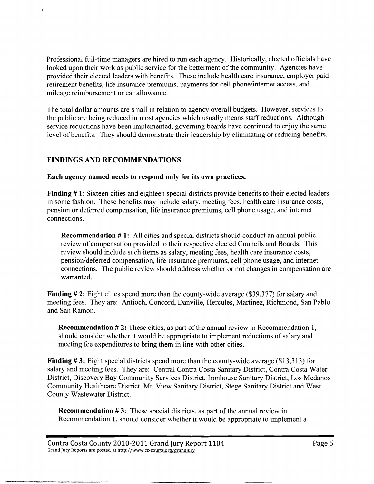Professional hll-time managers are hired to run each agency. Historically, elected officials have looked upon their work as public service for the betterment of the community. Agencies have provided their elected leaders with benefits. These include health care insurance, employer paid retirement benefits, life insurance premiums, payments for cell phone/internet access, and mileage reimbursement or car allowance.

The total dollar amounts are small in relation to agency overall budgets. However, services to the public are being reduced in most agencies which usually means staff reductions. Although service reductions have been implemented, governing boards have continued to enjoy the same level of benefits. They should demonstrate their leadership by eliminating or reducing benefits.

## **FINDINGS AND RECOMMENDATIONS**

#### **Each agency named needs to respond only for its own practices.**

**Finding** # **1:** Sixteen cities and eighteen special districts provide benefits to their elected leaders in some fashion. These benefits may include salary, meeting fees, health care insurance costs, pension or deferred compensation, life insurance premiums, cell phone usage, and internet connections.

**Recommendation #1:** All cities and special districts should conduct an annual public review of compensation provided to their respective elected Councils and Boards. This review should include such items as salary, meeting fees, health care insurance costs, pension/deferred compensation, life insurance premiums, cell phone usage, and internet connections. The public review should address whether or not changes in compensation are warranted.

**Finding** # **2:** Eight cities spend more than the county-wide average (\$39,377) for salary and meeting fees. They are: Antioch, Concord, Danville, Hercules, Martinez, Richmond, San Pablo and San Ramon.

**Recommendation #2:** These cities, as part of the annual review in Recommendation 1, should consider whether it would be appropriate to implement reductions of salary and meeting fee expenditures to bring them in line with other cities.

**Finding** # 3: Eight special districts spend more than the county-wide average (\$13,3 13) for salary and meeting fees. They are: Central Contra Costa Sanitary District, Contra Costa Water District, Discovery Bay Community Services District, Ironhouse Sanitary District, Los Medanos Community Healthcare District, Mt. View Sanitary District, Stege Sanitary District and West County Wastewater District.

**Recommendation #3:** These special districts, as part of the annual review in Recommendation 1, should consider whether it would be appropriate to implement a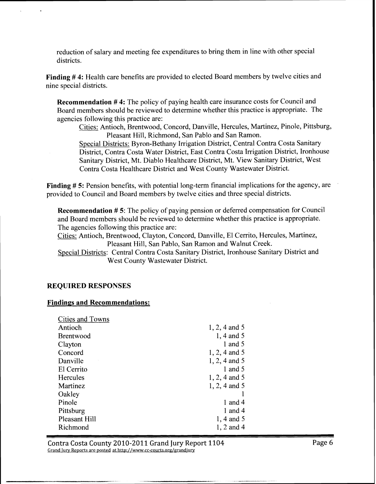reduction of salary and meeting fee expenditures to bring them in line with other special districts.

**Finding** # **4:** Health care benefits are provided to elected Board members by twelve cities and nine special districts.

**Recommendation #4:** The policy of paying health care insurance costs for Council and Board members should be reviewed to determine whether this practice is appropriate. The agencies following this practice are:

Cities: Antioch, Brentwood, Concord, Danville, Hercules, Martinez, Pinole, Pittsburg, Pleasant Hill, Richmond, San Pablo and San Ramon.

Special Districts: Byron-Bethany Irrigation District, Central Contra Costa Sanitary District, Contra Costa Water District, East Contra Costa Irrigation District, Ironhouse Sanitary District, Mt. Diablo Healthcare District, Mt. View Sanitary District, West Contra Costa Healthcare District and West County Wastewater District.

**Finding** # **5:** Pension benefits, with potential long-term financial implications for the agency, are provided to Council and Board members by twelve cities and three special districts.

**Recommendation** # **5:** The policy of paying pension or deferred compensation for Council and Board members should be reviewed to determine whether this practice is appropriate. The agencies following this practice are:

Cities: Antioch, Brentwood, Clayton, Concord, Danville, El Cerrito, Hercules, Martinez, Pleasant Hill, San Pablo, San Ramon and Walnut Creek.

Special Districts: Central Contra Costa Sanitary District, Ironhouse Sanitary District and West County Wastewater District.

#### **REQUIRED REXPONSES**

#### **Findings and Recommendations:**

| Cities and Towns     |                 |
|----------------------|-----------------|
| Antioch              | $1, 2, 4$ and 5 |
| <b>Brentwood</b>     | $1, 4$ and 5    |
| Clayton              | 1 and 5         |
| Concord              | $1, 2, 4$ and 5 |
| Danville             | $1, 2, 4$ and 5 |
| El Cerrito           | 1 and 5         |
| Hercules             | $1, 2, 4$ and 5 |
| Martinez             | $1, 2, 4$ and 5 |
| Oakley               |                 |
| Pinole               | 1 and 4         |
| Pittsburg            | 1 and 4         |
| <b>Pleasant Hill</b> | $1, 4$ and 5    |
| Richmond             | 1, 2 and 4      |
|                      |                 |

.-- -- .- - - ---- --

Contra Costa County 2010-2011 Grand Jury Report 1104 Page 6 Grand lury Reports are posted at **http://www.cc-courts.ore/grandiury**